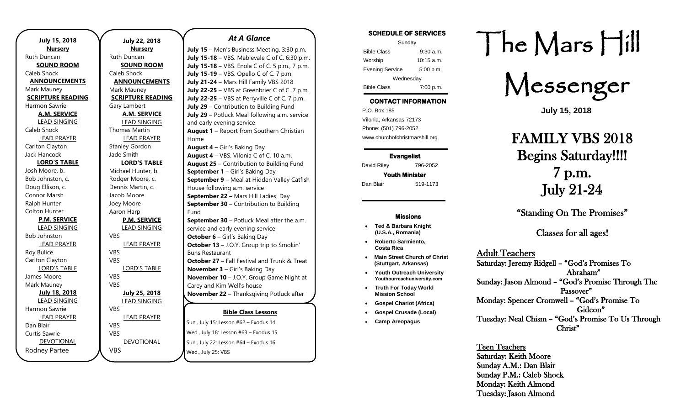| <b>July 15, 2018</b>     |  |  |
|--------------------------|--|--|
| <b>Nursery</b>           |  |  |
| Ruth Duncan              |  |  |
| <u>SOUND ROOM</u>        |  |  |
| Caleb Shock              |  |  |
| <b>ANNOUNCEMENTS</b>     |  |  |
| Mark Mauney              |  |  |
| <b>SCRIPTURE READING</b> |  |  |
| Harmon Sawrie            |  |  |
| <b>A.M. SERVICE</b>      |  |  |
| <b>LEAD SINGING</b>      |  |  |
| Caleb Shock              |  |  |
| <b>LEAD PRAYER</b>       |  |  |
| Carlton Clayton          |  |  |
| Jack Hancock             |  |  |
| <b>LORD'S TABLE</b>      |  |  |
| Josh Moore, b.           |  |  |
| Bob Johnston, c.         |  |  |
| Doug Ellison, c.         |  |  |
| Connor Marsh             |  |  |
| Ralph Hunter             |  |  |
| Colton Hunter            |  |  |
| <b>P.M. SERVICE</b>      |  |  |
| <b>LEAD SINGING</b>      |  |  |
| <b>Bob Johnston</b>      |  |  |
| <b>LEAD PRAYER</b>       |  |  |
| Roy Bulice               |  |  |
| Carlton Clayton          |  |  |
| <b>LORD'S TABLE</b>      |  |  |
| James Moore              |  |  |
| Mark Mauney              |  |  |
| July 18, 2018            |  |  |
| <b>LEAD SINGING</b>      |  |  |
| Harmon Sawrie            |  |  |
| <b>LEAD PRAYER</b>       |  |  |
| Dan Blair                |  |  |
| Curtis Sawrie            |  |  |
| <b>DEVOTIONAL</b>        |  |  |
| Rodney Partee            |  |  |

| <b>July 22, 2018</b>     |                       |
|--------------------------|-----------------------|
| <b>Nursery</b>           | July $15 - Me$        |
| <b>Ruth Duncan</b>       | July 15-18-           |
| <b>SOUND ROOM</b>        | July 15-18-           |
| Caleb Shock              | July 15-19 -          |
| <b>ANNOUNCEMENTS</b>     | July 21-24-           |
| Mark Mauney              | July 22-25-           |
| <b>SCRIPTURE READING</b> | July 22-25-           |
| Gary Lambert             | July $29 - Co$        |
| <b>A.M. SERVICE</b>      | July $29 -$ Pot       |
| <b>LEAD SINGING</b>      | and early eve         |
| Thomas Martin            | August $1 - F$        |
| <b>LEAD PRAYER</b>       | Home                  |
| <b>Stanley Gordon</b>    | August $4 - 6$        |
| Jade Smith               | August $4 - \sqrt{ }$ |
| <b>LORD'S TABLE</b>      | August 25 -           |
| Michael Hunter, b.       | September 1           |
| Rodger Moore, c.         | <b>September 9</b>    |
| Dennis Martin, c.        | House follow          |
| Jacob Moore              | September 2           |
| Joey Moore               | September 3           |
| Aaron Harp               | Fund                  |
| <b>P.M. SERVICE</b>      | September 3           |
| <b>LEAD SINGING</b>      | service and e         |
| <b>VBS</b>               | October $6 -$         |
| <b>LEAD PRAYER</b>       | October 13 -          |
| <b>VBS</b>               | <b>Buns Restaur</b>   |
| VBS                      | October 27 -          |
| <b>LORD'S TABLE</b>      | November 3            |
| <b>VBS</b>               | November 1            |
| <b>VBS</b>               | Carey and Kir         |
| July 25, 2018            | <b>November 2</b>     |
| <b>LEAD SINGING</b>      |                       |
| <b>VBS</b>               |                       |
| <b>LEAD PRAYER</b>       | Sun., July 15: Le     |
| <b>VBS</b><br><b>VBS</b> | Wed., July 18: L      |
|                          |                       |
| <b>DEVOTIONAL</b>        | Sun., July 22: Le     |
| VBS                      | Wed July 25: \        |

### *At A Glance*

**Bible Class Lessons July 15** – Men's Business Meeting. 3:30 p.m. **July 15-18** – VBS. Mablevale C of C. 6:30 p.m. **July 15-18** – VBS. Enola C of C. 5 p.m., 7 p.m. **July 15-19** – VBS. Opello C of C. 7 p.m. **Mars Hill Family VBS 2018 July 22-25** – VBS at Greenbrier C of C. 7 p.m. **July 22-25** – VBS at Perryville C of C. 7 p.m. **ntribution to Building Fund** tluck Meal following a.m. service ening service **Report from Southern Christian August 4 –** Girl's Baking Day **August 4** – VBS. Vilonia C of C. 10 a.m. **August 25** – Contribution to Building Fund **1** – Girl's Baking Day **9** – Meal at Hidden Valley Catfish ving a.m. service **September 22 –** Mars Hill Ladies' Day **30** – Contribution to Building **30** – Potluck Meal after the a.m. early evening service Girl's Baking Day **October 13** – J.O.Y. Group trip to Smokin' rant **October 27** – Fall Festival and Trunk & Treat **November 3** – Girl's Baking Day 10 – J.O.Y. Group Game Night at m Well's house **November 22** – Thanksgiving Potluck after

Sun., July 15: Lesson #62 – Exodus 14 Lesson #63 – Exodus 15  $eson$  #64 – Exodus 16 Wed., July 25: VBS

### **SCHEDULE OF SERVICES**

| Sunday                 |              |  |
|------------------------|--------------|--|
| <b>Bible Class</b>     | $9:30$ a.m.  |  |
| Worship                | $10:15$ a.m. |  |
| <b>Evening Service</b> | 5:00 p.m.    |  |
| Wednesday              |              |  |
| <b>Bible Class</b>     | 7:00 p.m.    |  |

# **CONTACT INFORMATION**

. .o. Box 166<br>Vilonia, Arkansas 72173 P.O. Box 185 Phone: (501) 796-2052 www.churchofchristmarshill.org

**Evangelist**  David Riley 796-2052

**Youth Minister**  Dan Blair 519-1173

### **Missions**

- **Ted & Barbara Knight (U.S.A., Romania)**
- **Roberto Sarmiento, Costa Rica**
- **Main Street Church of Christ (Stuttgart, Arkansas)**
- **Youth Outreach University Youthourreachuniversity.com** • **Truth For Today World**
- **Mission School**
- **Gospel Chariot (Africa)**
- **Gospel Crusade (Local)**
- **Camp Areopagus**

# The Mars Hill

Messenger

**July 15, 2018**

# FAMILY VBS 2018 Begins Saturday!!!! 7 p.m. July 21-24

"Standing On The Promises"

Classes for all ages!

## Adult Teachers

Saturday: Jeremy Ridgell – "God's Promises To Abraham" Sunday: Jason Almond – "God's Promise Through The Passover" Monday: Spencer Cromwell – "God's Promise To Gideon" Tuesday: Neal Chism – "God's Promise To Us Through Christ"

Teen Teachers Saturday: Keith Moore Sunday A.M.: Dan Blair Sunday P.M.: Caleb Shock Monday: Keith Almond Tuesday: Jason Almond